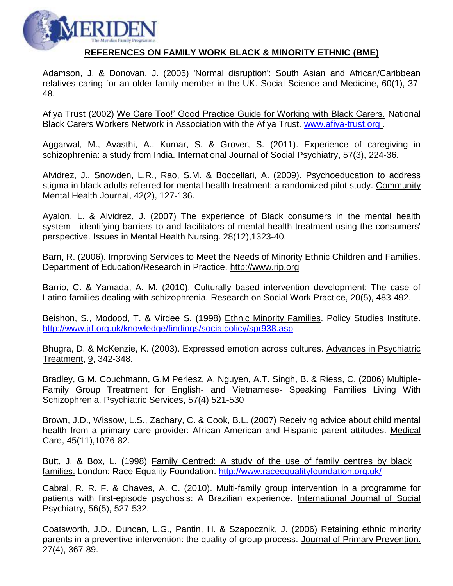

### **REFERENCES ON FAMILY WORK BLACK & MINORITY ETHNIC (BME)**

Adamson, J. & Donovan, J. (2005) 'Normal disruption': South Asian and African/Caribbean relatives caring for an older family member in the UK. Social Science and Medicine, 60(1), 37- 48.

Afiya Trust (2002) We Care Too!' Good Practice Guide for Working with Black Carers. National Black Carers Workers Network in Association with the Afiya Trust. [www.afiya-trust.org](http://www.afiya-trust.org/) .

Aggarwal, M., Avasthi, A., Kumar, S. & Grover, S. (2011). Experience of caregiving in schizophrenia: a study from India. International Journal of Social Psychiatry, 57(3), 224-36.

Alvidrez, J., Snowden, L.R., Rao, S.M. & Boccellari, A. (2009). Psychoeducation to address stigma in black adults referred for mental health treatment: a randomized pilot study. Community Mental Health Journal, 42(2), 127-136.

Ayalon, L. & Alvidrez, J. (2007) The experience of Black consumers in the mental health system—identifying barriers to and facilitators of mental health treatment using the consumers' perspective. Issues in Mental Health Nursing. 28(12),1323-40.

Barn, R. (2006). Improving Services to Meet the Needs of Minority Ethnic Children and Families. Department of Education/Research in Practice. [http://www.rip.org](http://www.rip.org/)

Barrio, C. & Yamada, A. M. (2010). Culturally based intervention development: The case of Latino families dealing with schizophrenia. Research on Social Work Practice, 20(5), 483-492.

Beishon, S., Modood, T. & Virdee S. (1998) Ethnic Minority Families. Policy Studies Institute. <http://www.jrf.org.uk/knowledge/findings/socialpolicy/spr938.asp>

Bhugra, D. & McKenzie, K. (2003). Expressed emotion across cultures. Advances in Psychiatric Treatment, 9, 342-348.

Bradley, G.M. Couchmann, G.M Perlesz, A. Nguyen, A.T. Singh, B. & Riess, C. (2006) Multiple-Family Group Treatment for English- and Vietnamese- Speaking Families Living With Schizophrenia. Psychiatric Services, 57(4) 521-530

Brown, J.D., Wissow, L.S., Zachary, C. & Cook, B.L. (2007) Receiving advice about child mental health from a primary care provider: African American and Hispanic parent attitudes. Medical Care, 45(11),1076-82.

Butt, J. & Box, L. (1998) Family Centred: A study of the use of family centres by black families. London: Race Equality Foundation. <http://www.raceequalityfoundation.org.uk/>

Cabral, R. R. F. & Chaves, A. C. (2010). Multi-family group intervention in a programme for patients with first-episode psychosis: A Brazilian experience. International Journal of Social Psychiatry, 56(5), 527-532.

Coatsworth, J.D., Duncan, L.G., Pantin, H. & Szapocznik, J. (2006) Retaining ethnic minority parents in a preventive intervention: the quality of group process. Journal of Primary Prevention. 27(4), 367-89.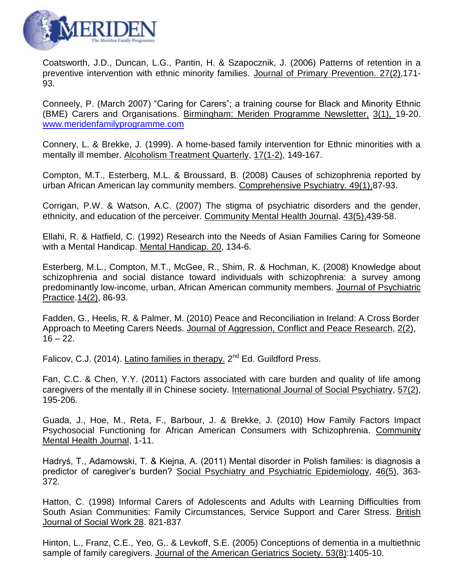

Coatsworth, J.D., Duncan, L.G., Pantin, H. & Szapocznik, J. (2006) Patterns of retention in a preventive intervention with ethnic minority families. Journal of Primary Prevention. 27(2),171- 93.

Conneely, P. (March 2007) "Caring for Carers"; a training course for Black and Minority Ethnic (BME) Carers and Organisations. Birmingham: Meriden Programme Newsletter, 3(1), 19-20. [www.meridenfamilyprogramme.com](http://www.meridenfamilyprogramme.com/)

Connery, L. & Brekke, J. (1999). A home-based family intervention for Ethnic minorities with a mentally ill member. Alcoholism Treatment Quarterly, 17(1-2), 149-167.

Compton, M.T., Esterberg, M.L. & Broussard, B. (2008) Causes of schizophrenia reported by urban African American lay community members. Comprehensive Psychiatry. 49(1),87-93.

Corrigan, P.W. & Watson, A.C. (2007) The stigma of psychiatric disorders and the gender, ethnicity, and education of the perceiver. Community Mental Health Journal. 43(5),439-58.

Ellahi, R. & Hatfield, C. (1992) Research into the Needs of Asian Families Caring for Someone with a Mental Handicap. Mental Handicap. 20, 134-6.

Esterberg, M.L., Compton, M.T., McGee, R., Shim, R. & Hochman, K. (2008) Knowledge about schizophrenia and social distance toward individuals with schizophrenia: a survey among predominantly low-income, urban, African American community members. Journal of Psychiatric Practice.14(2), 86-93.

Fadden, G., Heelis, R. & Palmer, M. (2010) Peace and Reconciliation in Ireland: A Cross Border Approach to Meeting Carers Needs. Journal of Aggression, Conflict and Peace Research, 2(2),  $16 - 22$ .

Falicov, C.J. (2014). Latino families in therapy. 2<sup>nd</sup> Ed. Guildford Press.

Fan, C.C. & Chen, Y.Y. (2011) Factors associated with care burden and quality of life among caregivers of the mentally ill in Chinese society. International Journal of Social Psychiatry, 57(2), 195-206.

Guada, J., Hoe, M., Reta, F., Barbour, J. & Brekke, J. (2010) How Family Factors Impact Psychosocial Functioning for African American Consumers with Schizophrenia. Community Mental Health Journal, 1-11.

Hadryś, T., Adamowski, T. & Kiejna, A. (2011) Mental disorder in Polish families: is diagnosis a predictor of caregiver's burden? Social Psychiatry and Psychiatric Epidemiology, 46(5), 363- 372.

Hatton, C. (1998) Informal Carers of Adolescents and Adults with Learning Difficulties from South Asian Communities: Family Circumstances, Service Support and Carer Stress. British Journal of Social Work 28. 821-837

Hinton, L., Franz, C.E., Yeo, G,. & Levkoff, S.E. (2005) Conceptions of dementia in a multiethnic sample of family caregivers. Journal of the American Geriatrics Society. 53(8):1405-10.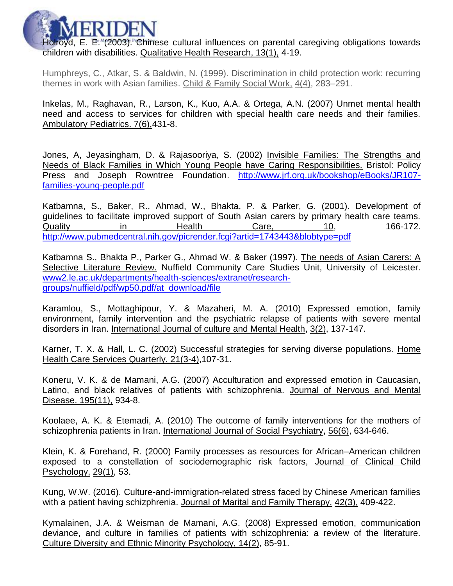

Holroyd, E. E. (2003). Chinese cultural influences on parental caregiving obligations towards children with disabilities. Qualitative Health Research, 13(1), 4-19.

Humphreys, C., Atkar, S. & Baldwin, N. (1999). Discrimination in child protection work: recurring themes in work with Asian families. Child & Family Social Work, 4(4), 283–291.

Inkelas, M., Raghavan, R., Larson, K., Kuo, A.A. & Ortega, A.N. (2007) Unmet mental health need and access to services for children with special health care needs and their families. Ambulatory Pediatrics. 7(6),431-8.

Jones, A, Jeyasingham, D. & Rajasooriya, S. (2002) Invisible Families: The Strengths and Needs of Black Families in Which Young People have Caring Responsibilities. Bristol: Policy Press and Joseph Rowntree Foundation. [http://www.jrf.org.uk/bookshop/eBooks/JR107](http://www.jrf.org.uk/bookshop/eBooks/JR107-families-young-people.pdf) [families-young-people.pdf](http://www.jrf.org.uk/bookshop/eBooks/JR107-families-young-people.pdf)

Katbamna, S., Baker, R., Ahmad, W., Bhakta, P. & Parker, G. (2001). Development of guidelines to facilitate improved support of South Asian carers by primary health care teams. Quality in Health Care, 10, 166-172. <http://www.pubmedcentral.nih.gov/picrender.fcgi?artid=1743443&blobtype=pdf>

Katbamna S., Bhakta P., Parker G., Ahmad W. & Baker (1997). The needs of Asian Carers: A Selective Literature Review. Nuffield Community Care Studies Unit, University of Leicester. www2.le.ac.uk/departments/health-sciences/extranet/researchgroups/nuffield/pdf/wp50.pdf/at\_download/file

Karamlou, S., Mottaghipour, Y. & Mazaheri, M. A. (2010) Expressed emotion, family environment, family intervention and the psychiatric relapse of patients with severe mental disorders in Iran. International Journal of culture and Mental Health, 3(2), 137-147.

Karner, T. X. & Hall, L. C. (2002) Successful strategies for serving diverse populations. Home Health Care Services Quarterly. 21(3-4),107-31.

Koneru, V. K. & de Mamani, A.G. (2007) Acculturation and expressed emotion in Caucasian, Latino, and black relatives of patients with schizophrenia. Journal of Nervous and Mental Disease. 195(11), 934-8.

Koolaee, A. K. & Etemadi, A. (2010) The outcome of family interventions for the mothers of schizophrenia patients in Iran. International Journal of Social Psychiatry, 56(6), 634-646.

Klein, K. & Forehand, R. (2000) Family processes as resources for African–American children exposed to a constellation of sociodemographic risk factors, Journal of Clinical Child Psychology, 29(1), 53.

Kung, W.W. (2016). Culture-and-immigration-related stress faced by Chinese American families with a patient having schizphrenia. Journal of Marital and Family Therapy, 42(3), 409-422.

Kymalainen, J.A. & Weisman de Mamani, A.G. (2008) Expressed emotion, communication deviance, and culture in families of patients with schizophrenia: a review of the literature*.*  Culture Diversity and Ethnic Minority Psychology, 14(2), 85-91.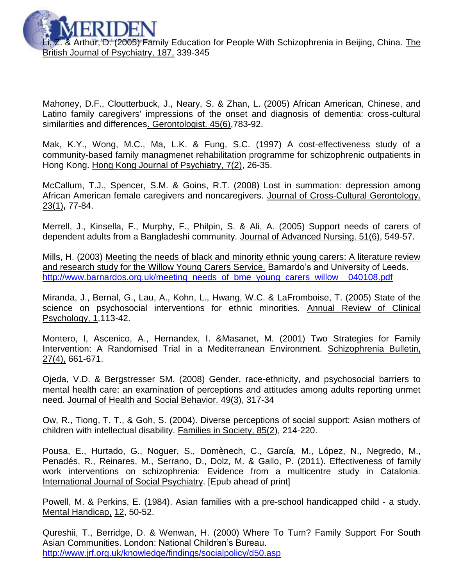Z. & Arthur, D. (2005) Family Education for People With Schizophrenia in Beijing, China. The British Journal of Psychiatry, 187, 339-345

Mahoney, D.F., Cloutterbuck, J., Neary, S. & Zhan, L. (2005) African American, Chinese, and Latino family caregivers' impressions of the onset and diagnosis of dementia: cross-cultural similarities and differences. Gerontologist. 45(6),783-92.

Mak, K.Y., Wong, M.C., Ma, L.K. & Fung, S.C. (1997) A cost-effectiveness study of a community-based family managmenet rehabilitation programme for schizophrenic outpatients in Hong Kong. Hong Kong Journal of Psychiatry, 7(2), 26-35.

McCallum, T.J., Spencer, S.M. & Goins, R.T. (2008) Lost in summation: depression among African American female caregivers and noncaregivers. Journal of Cross-Cultural Gerontology. 23(1)**,** 77-84.

Merrell, J., Kinsella, F., Murphy, F., Philpin, S. & Ali, A. (2005) Support needs of carers of dependent adults from a Bangladeshi community. Journal of Advanced Nursing. 51(6), 549-57.

Mills, H. (2003) Meeting the needs of black and minority ethnic young carers: A literature review and research study for the Willow Young Carers Service. Barnardo's and University of Leeds. http://www.barnardos.org.uk/meeting\_needs\_of\_bme\_young\_carers\_willow\_040108.pdf

Miranda, J., Bernal, G., Lau, A., Kohn, L., Hwang, W.C. & LaFromboise, T. (2005) State of the science on psychosocial interventions for ethnic minorities. Annual Review of Clinical Psychology, 1,113-42.

Montero, I, Ascenico, A., Hernandex, I. &Masanet, M. (2001) Two Strategies for Family Intervention: A Randomised Trial in a Mediterranean Environment. Schizophrenia Bulletin, 27(4), 661-671.

Ojeda, V.D. & Bergstresser SM. (2008) Gender, race-ethnicity, and psychosocial barriers to mental health care: an examination of perceptions and attitudes among adults reporting unmet need. Journal of Health and Social Behavior. 49(3), 317-34

Ow, R., Tiong, T. T., & Goh, S. (2004). Diverse perceptions of social support: Asian mothers of children with intellectual disability. Families in Society, 85(2), 214-220.

[Pousa,](http://www.ncbi.nlm.nih.gov/pubmed?term=%22Pousa%20E%22%5BAuthor%5D) E., [Hurtado,](http://www.ncbi.nlm.nih.gov/pubmed?term=%22Hurtado%20G%22%5BAuthor%5D) G., [Noguer,](http://www.ncbi.nlm.nih.gov/pubmed?term=%22Noguer%20S%22%5BAuthor%5D) S., [Domènech,](http://www.ncbi.nlm.nih.gov/pubmed?term=%22Dom%C3%A8nech%20C%22%5BAuthor%5D) C., [García,](http://www.ncbi.nlm.nih.gov/pubmed?term=%22Garc%C3%ADa%20M%22%5BAuthor%5D) M., [López,](http://www.ncbi.nlm.nih.gov/pubmed?term=%22L%C3%B3pez%20N%22%5BAuthor%5D) N., [Negredo,](http://www.ncbi.nlm.nih.gov/pubmed?term=%22Negredo%20M%22%5BAuthor%5D) M., [Penadés,](http://www.ncbi.nlm.nih.gov/pubmed?term=%22Penad%C3%A9s%20R%22%5BAuthor%5D) R., [Reinares,](http://www.ncbi.nlm.nih.gov/pubmed?term=%22Reinares%20M%22%5BAuthor%5D) M., [Serrano,](http://www.ncbi.nlm.nih.gov/pubmed?term=%22Serrano%20D%22%5BAuthor%5D) D., [Dolz,](http://www.ncbi.nlm.nih.gov/pubmed?term=%22Dolz%20M%22%5BAuthor%5D) M. & [Gallo,](http://www.ncbi.nlm.nih.gov/pubmed?term=%22Gallo%20P%22%5BAuthor%5D) P. (2011). Effectiveness of family work interventions on schizophrenia: Evidence from a multicentre study in Catalonia. International Journal of Social Psychiatry. [Epub ahead of print]

Powell, M. & Perkins, E. (1984). Asian families with a pre-school handicapped child - a study. Mental Handicap, 12, 50-52.

Qureshii, T., Berridge, D. & Wenwan, H. (2000) Where To Turn? Family Support For South Asian Communities. London: National Children's Bureau. <http://www.jrf.org.uk/knowledge/findings/socialpolicy/d50.asp>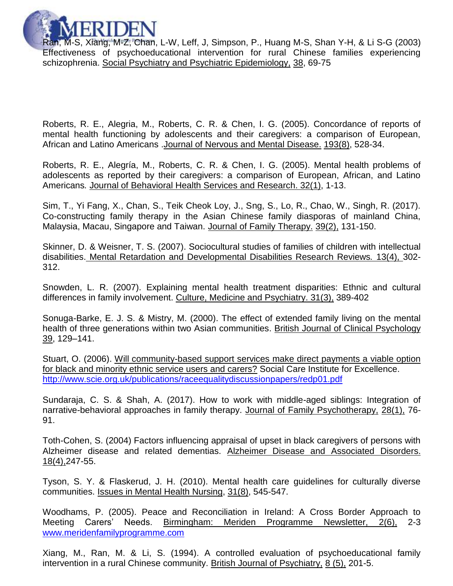

Ran, M-S, Xiang, M-Z, Chan, L-W, Leff, J, Simpson, P., Huang M-S, Shan Y-H, & Li S-G (2003) Effectiveness of psychoeducational intervention for rural Chinese families experiencing schizophrenia. Social Psychiatry and Psychiatric Epidemiology, 38, 69-75

Roberts, R. E., Alegria, M., Roberts, C. R. & Chen, I. G. (2005). Concordance of reports of mental health functioning by adolescents and their caregivers: a comparison of European, African and Latino Americans .Journal of Nervous and Mental Disease. 193(8), 528-34.

Roberts, R. E., Alegría, M., Roberts, C. R. & Chen, I. G. (2005). Mental health problems of adolescents as reported by their caregivers: a comparison of European, African, and Latino Americans*.* Journal of Behavioral Health Services and Research. 32(1), 1-13.

Sim, T., Yi Fang, X., Chan, S., Teik Cheok Loy, J., Sng, S., Lo, R., Chao, W., Singh, R. (2017). Co-constructing family therapy in the Asian Chinese family diasporas of mainland China, Malaysia, Macau, Singapore and Taiwan. Journal of Family Therapy. 39(2), 131-150.

Skinner, D. & Weisner, T. S. (2007). Sociocultural studies of families of children with intellectual disabilities. Mental Retardation and Developmental Disabilities Research Reviews*.* 13(4), 302- 312.

Snowden, L. R. (2007). Explaining mental health treatment disparities: Ethnic and cultural differences in family involvement. Culture, Medicine and Psychiatry. 31(3), 389-402

Sonuga-Barke, E. J. S. & Mistry, M. (2000). The effect of extended family living on the mental health of three generations within two Asian communities. British Journal of Clinical Psychology 39, 129–141.

Stuart, O. (2006). Will community-based support services make direct payments a viable option for black and minority ethnic service users and carers? Social Care Institute for Excellence. <http://www.scie.org.uk/publications/raceequalitydiscussionpapers/redp01.pdf>

Sundaraja, C. S. & Shah, A. (2017). How to work with middle-aged siblings: Integration of narrative-behavioral approaches in family therapy. Journal of Family Psychotherapy, 28(1), 76- 91.

Toth-Cohen, S. (2004) Factors influencing appraisal of upset in black caregivers of persons with Alzheimer disease and related dementias. Alzheimer Disease and Associated Disorders. 18(4),247-55.

Tyson, S. Y. & Flaskerud, J. H. (2010). Mental health care guidelines for culturally diverse communities. Issues in Mental Health Nursing, 31(8), 545-547.

Woodhams, P. (2005). Peace and Reconciliation in Ireland: A Cross Border Approach to Meeting Carers' Needs. Birmingham: Meriden Programme Newsletter, 2(6), 2-3 [www.meridenfamilyprogramme.com](http://www.meridenfamilyprogramme.com/)

Xiang, M., Ran, M. & Li, S. (1994). A controlled evaluation of psychoeducational family intervention in a rural Chinese community. British Journal of Psychiatry, 8 (5), 201-5.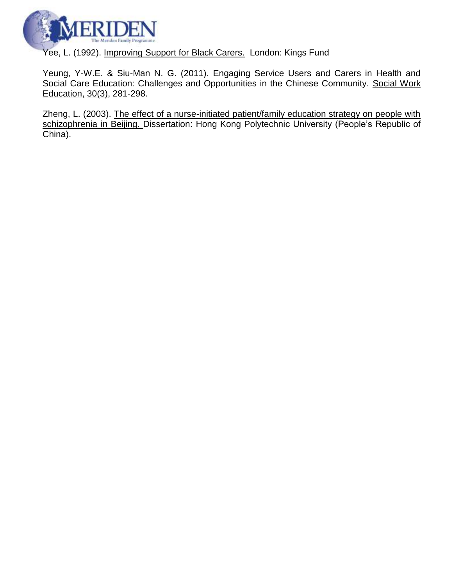

Yee, L. (1992). Improving Support for Black Carers. London: Kings Fund

Yeung, Y-W.E. & Siu-Man N. G. (2011). Engaging Service Users and Carers in Health and Social Care Education: Challenges and Opportunities in the Chinese Community. Social Work Education, 30(3), 281-298.

Zheng, L. (2003). The effect of a nurse-initiated patient/family education strategy on people with schizophrenia in Beijing. Dissertation: Hong Kong Polytechnic University (People's Republic of China).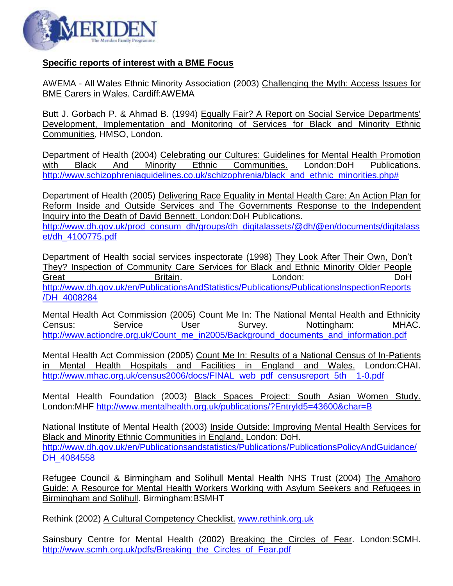

### **Specific reports of interest with a BME Focus**

AWEMA - All Wales Ethnic Minority Association (2003) Challenging the Myth: Access Issues for BME Carers in Wales. Cardiff:AWEMA

Butt J. Gorbach P. & Ahmad B. (1994) Equally Fair? A Report on Social Service Departments' Development, Implementation and Monitoring of Services for Black and Minority Ethnic Communities, HMSO, London.

Department of Health (2004) Celebrating our Cultures: Guidelines for Mental Health Promotion with Black And Minority Ethnic Communities. London:DoH Publications. http://www.schizophreniaguidelines.co.uk/schizophrenia/black and ethnic minorities.php#

Department of Health (2005) Delivering Race Equality in Mental Health Care: An Action Plan for Reform Inside and Outside Services and The Governments Response to the Independent Inquiry into the Death of David Bennett. London:DoH Publications. [http://www.dh.gov.uk/prod\\_consum\\_dh/groups/dh\\_digitalassets/@dh/@en/documents/digitalass](http://www.dh.gov.uk/prod_consum_dh/groups/dh_digitalassets/@dh/@en/documents/digitalasset/dh_4100775.pdf) [et/dh\\_4100775.pdf](http://www.dh.gov.uk/prod_consum_dh/groups/dh_digitalassets/@dh/@en/documents/digitalasset/dh_4100775.pdf)

Department of Health social services inspectorate (1998) They Look After Their Own, Don't They? Inspection of Community Care Services for Black and Ethnic Minority Older People Great Britain. Britain. Condon: DoH [http://www.dh.gov.uk/en/PublicationsAndStatistics/Publications/PublicationsInspectionReports](http://www.dh.gov.uk/en/PublicationsAndStatistics/Publications/PublicationsInspectionReports/DH_4008284) [/DH\\_4008284](http://www.dh.gov.uk/en/PublicationsAndStatistics/Publications/PublicationsInspectionReports/DH_4008284)

Mental Health Act Commission (2005) Count Me In: The National Mental Health and Ethnicity Census: Service User Survey. Nottingham: MHAC. [http://www.actiondre.org.uk/Count\\_me\\_in2005/Background\\_documents\\_and\\_information.pdf](http://www.actiondre.org.uk/Count_me_in2005/Background_documents_and_information.pdf)

Mental Health Act Commission (2005) Count Me In: Results of a National Census of In-Patients in Mental Health Hospitals and Facilities in England and Wales. London:CHAI. [http://www.mhac.org.uk/census2006/docs/FINAL\\_web\\_pdf\\_censusreport\\_5th\\_\\_1-0.pdf](http://www.mhac.org.uk/census2006/docs/FINAL_web_pdf_censusreport_5th__1-0.pdf)

Mental Health Foundation (2003) Black Spaces Project: South Asian Women Study. London:MHF <http://www.mentalhealth.org.uk/publications/?EntryId5=43600&char=B>

National Institute of Mental Health (2003) Inside Outside: Improving Mental Health Services for Black and Minority Ethnic Communities in England. London: DoH. [http://www.dh.gov.uk/en/Publicationsandstatistics/Publications/PublicationsPolicyAndGuidance/](http://www.dh.gov.uk/en/Publicationsandstatistics/Publications/PublicationsPolicyAndGuidance/DH_4084558) DH 4084558

Refugee Council & Birmingham and Solihull Mental Health NHS Trust (2004) The Amahoro Guide: A Resource for Mental Health Workers Working with Asylum Seekers and Refugees in Birmingham and Solihull. Birmingham:BSMHT

Rethink (2002) A Cultural Competency Checklist. [www.rethink.org.uk](http://www.rethink.org.uk/)

Sainsbury Centre for Mental Health (2002) Breaking the Circles of Fear. London:SCMH. [http://www.scmh.org.uk/pdfs/Breaking\\_the\\_Circles\\_of\\_Fear.pdf](http://www.scmh.org.uk/pdfs/Breaking_the_Circles_of_Fear.pdf)